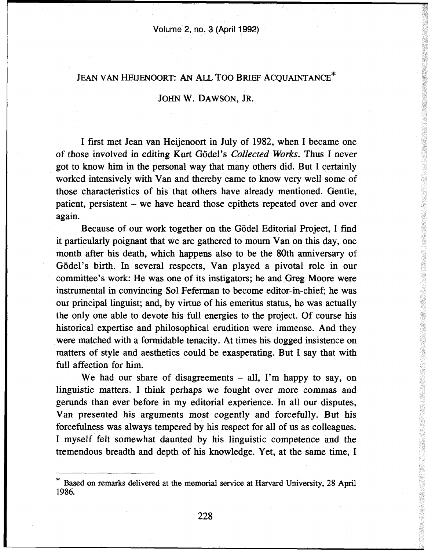## JEAN VAN HEIJENOORT: AN ALL TOO BRIEF ACOUAINTANCE\*

## JOHN W. DAWSON, JR.

I first met Jean van Heijenoort in July of 1982, when I became one of those involved in editing Kurt Godei's *Collected Works.* Thus I never got to know him in the personal way that many others did. But I certainly worked intensively with Van and thereby came to know very well some of those characteristics of his that others have already mentioned. Gentle, patient, persistent - we have heard those epithets repeated over and over again.

Because of our work together on the Gödel Editorial Project, I find it particularly poignant that we are gathered to mourn Van on this day, one month after his death, which happens also to be the 80th anniversary of Gödel's birth. In several respects, Van played a pivotal role in our committee's work: He was one of its instigators; he and Greg Moore were instrumental in convincing Sol Feferman to become editor-in-chief; he was our principal linguist; and, by virtue of his emeritus status, he was actually the only one able to devote his full energies to the project. Of course his historical expertise and philosophical erudition were immense. And they were matched with a formidable tenacity. At times his dogged insistence on matters of style and aesthetics could be exasperating. But I say that with full affection for him.

We had our share of disagreements  $-$  all, I'm happy to say, on linguistic matters. I think perhaps we fought over more commas and gerunds than ever before in my editorial experience. In all our disputes, Van presented his arguments most cogently and forcefully. But his forcefulness was always tempered by his respect for all of us as colleagues. I myself felt somewhat daunted by his linguistic competence and the tremendous breadth and depth of his knowledge. Yet, at the same time, I 「そのことは、そのことは、そのことは、そのことは、そのことは、そのことは、そのことは、そのことは、そのことは、そのことは、そのことは、そのことは、そのことは、そのことは、そのことは、そのことは、そのことは、そのことは、そのことは、そのことは、そのことは、そのことは、そのことは、そのことは、そのことは、そのことは、そのことは、そのことは、そのことは、そのことは、そのことは、そのことは、そのことは、そのことは、そのことは、そのことは、そのこ

Based on remarks delivered at the memorial service at Harvard University, 28 April 1986.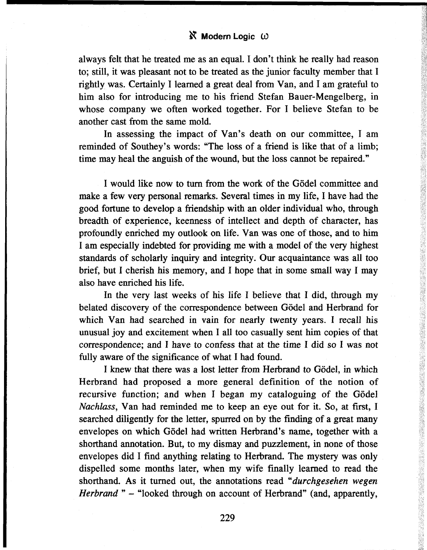## **& Modern Logic CO**

always felt that he treated me as an equal. I don't think he really had reason to; still, it was pleasant not to be treated as the junior faculty member that I rightly was. Certainly I learned a great deal from Van, and I am grateful to him also for introducing me to his friend Stefan Bauer-Mengelberg, in whose company we often worked together. For I believe Stefan to be another cast from the same mold.

In assessing the impact of Van's death on our committee, I am reminded of Southey's words: "The loss of a friend is like that of a limb; time may heal the anguish of the wound, but the loss cannot be repaired."

I would like now to turn from the work of the Godei committee and make a few very personal remarks. Several times in my life, I have had the good fortune to develop a friendship with an older individual who, through breadth of experience, keenness of intellect and depth of character, has profoundly enriched my outlook on life. Van was one of those, and to him I am especially indebted for providing me with a model of the very highest standards of scholarly inquiry and integrity. Our acquaintance was all too brief, but I cherish his memory, and I hope that in some small way I may also have enriched his life.

In the very last weeks of his life I believe that I did, through my belated discovery of the correspondence between Godei and Herbrand for which Van had searched in vain for nearly twenty years. I recall his unusual joy and excitement when I all too casually sent him copies of that correspondence; and I have to confess that at the time I did so I was not fully aware of the significance of what I had found.

I knew that there was a lost letter from Herbrand to Gödel, in which Herbrand had proposed a more general definition of the notion of recursive function; and when I began my cataloguing of the Gödel *Nachlass,* Van had reminded me to keep an eye out for it. So, at first, I searched diligently for the letter, spurred on by the finding of a great many envelopes on which Gödel had written Herbrand's name, together with a shorthand annotation. But, to my dismay and puzzlement, in none of those envelopes did I find anything relating to Herbrand. The mystery was only dispelled some months later, when my wife finally learned to read the shorthand. As it turned out, the annotations read *"durchgesehen wegen Herbrand* " - "looked through on account of Herbrand" (and, apparently,